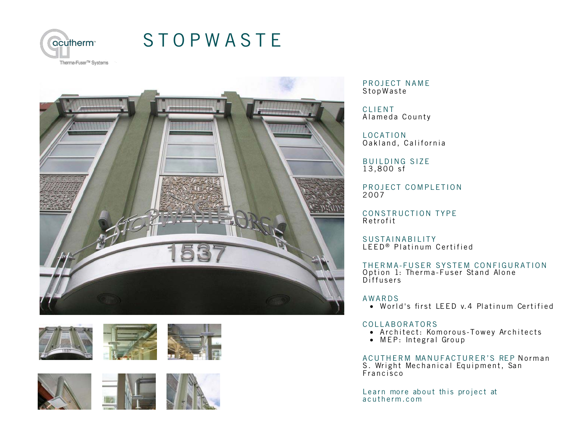

## [STOPWASTE](http://acutherm.com/project/Stopwaste/)







PROJECT NAME **StopWaste** 

CLIENT Ala meda County

LOCATION Oakland, California

BUILDING SIZE 13,800 sf

PROJECT COMPLETION 2007

CONSTRUCTION TYPE Retrofit

SUSTAINABILITY LEED<sup>®</sup> Platinum Certified

THERMA-FUSER SYSTEM CONFIGURATION Option 1: Therma-Fuser Stand Alone Diffusers

## AWARDS

• World's first LEED v.4 Platinum Certified

## COLLABORATORS

- Arch itect: Komorous-Towey Architects
- MEP: Integral Group

ACUTHERM MANUFACTURER'S REP Norman S. Wright Mechanical Equipment, San F rancisco

Lea[rn more about this project at](http://acutherm.com/project/Stopwaste/) a c u therm.com